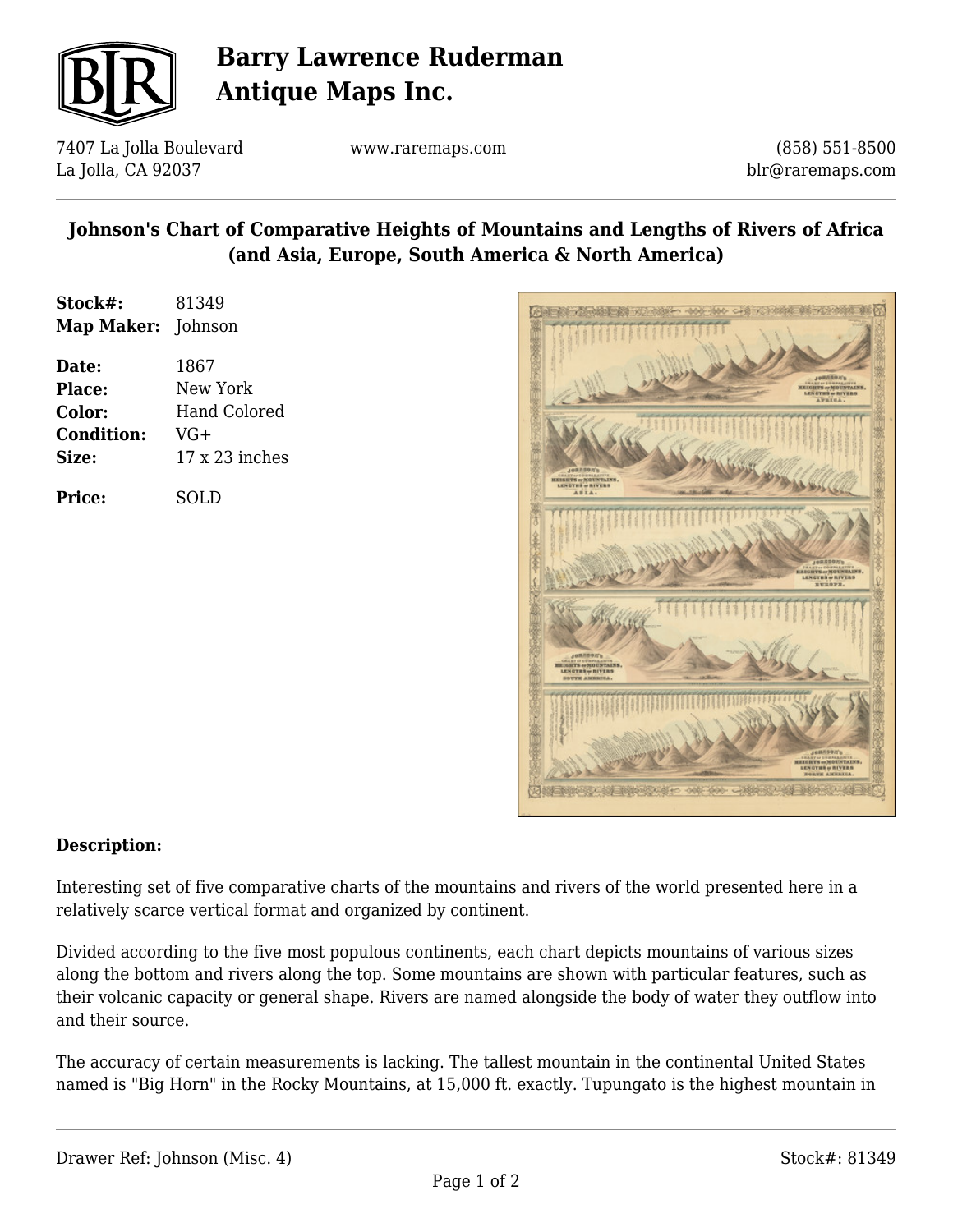

# **Barry Lawrence Ruderman Antique Maps Inc.**

7407 La Jolla Boulevard La Jolla, CA 92037

www.raremaps.com

(858) 551-8500 blr@raremaps.com

### **Johnson's Chart of Comparative Heights of Mountains and Lengths of Rivers of Africa (and Asia, Europe, South America & North America)**

| Stock#:                   | 81349        |
|---------------------------|--------------|
| <b>Map Maker:</b> Johnson |              |
| Date:                     | 1867         |
| Place:                    | New York     |
| <b>Color:</b>             | Hand Colored |
| Condition:                | $V(1+)$      |

**Size:** 17 x 23 inches

| <b>Price:</b> | <b>SOLD</b> |
|---------------|-------------|



#### **Description:**

Interesting set of five comparative charts of the mountains and rivers of the world presented here in a relatively scarce vertical format and organized by continent.

Divided according to the five most populous continents, each chart depicts mountains of various sizes along the bottom and rivers along the top. Some mountains are shown with particular features, such as their volcanic capacity or general shape. Rivers are named alongside the body of water they outflow into and their source.

The accuracy of certain measurements is lacking. The tallest mountain in the continental United States named is "Big Horn" in the Rocky Mountains, at 15,000 ft. exactly. Tupungato is the highest mountain in